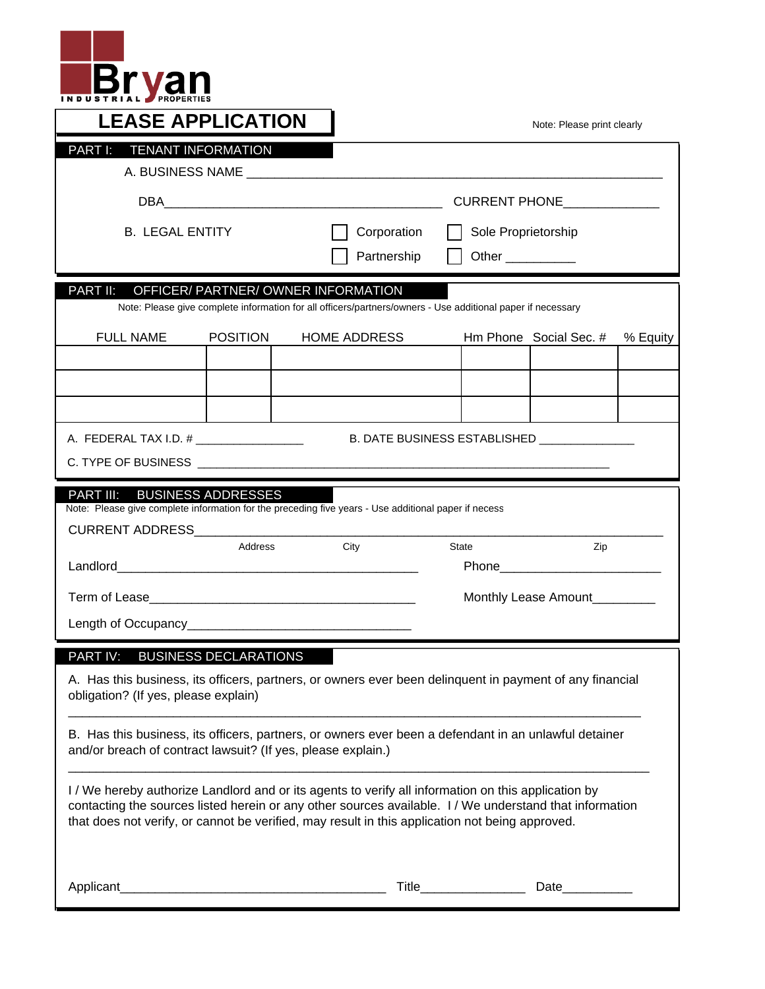

| <b>LEASE APPLICATION</b>                                                                                                                                                                            |                           |                                                                                                                                                                                                                                                                                                                   | Note: Please print clearly |                               |          |  |  |  |  |  |  |
|-----------------------------------------------------------------------------------------------------------------------------------------------------------------------------------------------------|---------------------------|-------------------------------------------------------------------------------------------------------------------------------------------------------------------------------------------------------------------------------------------------------------------------------------------------------------------|----------------------------|-------------------------------|----------|--|--|--|--|--|--|
| <b>TENANT INFORMATION</b><br><b>PART I:</b>                                                                                                                                                         |                           |                                                                                                                                                                                                                                                                                                                   |                            |                               |          |  |  |  |  |  |  |
|                                                                                                                                                                                                     |                           |                                                                                                                                                                                                                                                                                                                   |                            |                               |          |  |  |  |  |  |  |
| <b>B. LEGAL ENTITY</b>                                                                                                                                                                              |                           | Corporation<br>Sole Proprietorship                                                                                                                                                                                                                                                                                |                            |                               |          |  |  |  |  |  |  |
|                                                                                                                                                                                                     |                           | Partnership<br>Other __________                                                                                                                                                                                                                                                                                   |                            |                               |          |  |  |  |  |  |  |
| PART II:<br>OFFICER/ PARTNER/ OWNER INFORMATION<br>Note: Please give complete information for all officers/partners/owners - Use additional paper if necessary                                      |                           |                                                                                                                                                                                                                                                                                                                   |                            |                               |          |  |  |  |  |  |  |
| <b>FULL NAME</b>                                                                                                                                                                                    | <b>POSITION</b>           | <b>HOME ADDRESS</b>                                                                                                                                                                                                                                                                                               |                            | Hm Phone Social Sec. #        | % Equity |  |  |  |  |  |  |
|                                                                                                                                                                                                     |                           |                                                                                                                                                                                                                                                                                                                   |                            |                               |          |  |  |  |  |  |  |
|                                                                                                                                                                                                     |                           |                                                                                                                                                                                                                                                                                                                   |                            |                               |          |  |  |  |  |  |  |
|                                                                                                                                                                                                     |                           |                                                                                                                                                                                                                                                                                                                   |                            |                               |          |  |  |  |  |  |  |
| A. FEDERAL TAX I.D. # _________________<br>B. DATE BUSINESS ESTABLISHED                                                                                                                             |                           |                                                                                                                                                                                                                                                                                                                   |                            |                               |          |  |  |  |  |  |  |
|                                                                                                                                                                                                     |                           |                                                                                                                                                                                                                                                                                                                   |                            |                               |          |  |  |  |  |  |  |
| <b>PART III:</b>                                                                                                                                                                                    | <b>BUSINESS ADDRESSES</b> | Note: Please give complete information for the preceding five years - Use additional paper if necess                                                                                                                                                                                                              |                            |                               |          |  |  |  |  |  |  |
| CURRENT ADDRESS_________________                                                                                                                                                                    |                           |                                                                                                                                                                                                                                                                                                                   |                            |                               |          |  |  |  |  |  |  |
|                                                                                                                                                                                                     | Address                   | City                                                                                                                                                                                                                                                                                                              | <b>State</b>               | Zip                           |          |  |  |  |  |  |  |
|                                                                                                                                                                                                     |                           |                                                                                                                                                                                                                                                                                                                   |                            |                               |          |  |  |  |  |  |  |
|                                                                                                                                                                                                     |                           |                                                                                                                                                                                                                                                                                                                   |                            | Monthly Lease Amount_________ |          |  |  |  |  |  |  |
|                                                                                                                                                                                                     |                           |                                                                                                                                                                                                                                                                                                                   |                            |                               |          |  |  |  |  |  |  |
| <b>PART IV:</b><br><b>BUSINESS DECLARATIONS</b><br>A. Has this business, its officers, partners, or owners ever been delinguent in payment of any financial<br>obligation? (If yes, please explain) |                           |                                                                                                                                                                                                                                                                                                                   |                            |                               |          |  |  |  |  |  |  |
| and/or breach of contract lawsuit? (If yes, please explain.)                                                                                                                                        |                           | B. Has this business, its officers, partners, or owners ever been a defendant in an unlawful detainer                                                                                                                                                                                                             |                            |                               |          |  |  |  |  |  |  |
|                                                                                                                                                                                                     |                           | I / We hereby authorize Landlord and or its agents to verify all information on this application by<br>contacting the sources listed herein or any other sources available. I / We understand that information<br>that does not verify, or cannot be verified, may result in this application not being approved. |                            |                               |          |  |  |  |  |  |  |
| Applicant                                                                                                                                                                                           |                           | Title_                                                                                                                                                                                                                                                                                                            |                            | Date                          |          |  |  |  |  |  |  |